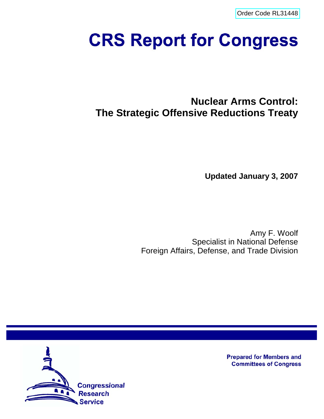[Order Code RL31448](http://www.fas.org/sgp/crs/nuke/index.html)

# **CRS Report for Congress**

# **Nuclear Arms Control: The Strategic Offensive Reductions Treaty**

**Updated January 3, 2007**

Amy F. Woolf Specialist in National Defense Foreign Affairs, Defense, and Trade Division



**Prepared for Members and Committees of Congress**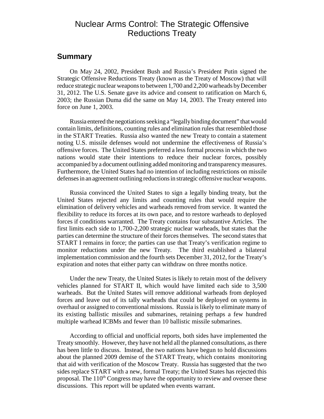## Nuclear Arms Control: The Strategic Offensive Reductions Treaty

## **Summary**

On May 24, 2002, President Bush and Russia's President Putin signed the Strategic Offensive Reductions Treaty (known as the Treaty of Moscow) that will reduce strategic nuclear weapons to between 1,700 and 2,200 warheads by December 31, 2012. The U.S. Senate gave its advice and consent to ratification on March 6, 2003; the Russian Duma did the same on May 14, 2003. The Treaty entered into force on June 1, 2003.

Russia entered the negotiations seeking a "legally binding document" that would contain limits, definitions, counting rules and elimination rules that resembled those in the START Treaties. Russia also wanted the new Treaty to contain a statement noting U.S. missile defenses would not undermine the effectiveness of Russia's offensive forces. The United States preferred a less formal process in which the two nations would state their intentions to reduce their nuclear forces, possibly accompanied by a document outlining added monitoring and transparency measures. Furthermore, the United States had no intention of including restrictions on missile defenses in an agreement outlining reductions in strategic offensive nuclear weapons.

Russia convinced the United States to sign a legally binding treaty, but the United States rejected any limits and counting rules that would require the elimination of delivery vehicles and warheads removed from service. It wanted the flexibility to reduce its forces at its own pace, and to restore warheads to deployed forces if conditions warranted. The Treaty contains four substantive Articles. The first limits each side to 1,700-2,200 strategic nuclear warheads, but states that the parties can determine the structure of their forces themselves. The second states that START I remains in force; the parties can use that Treaty's verification regime to monitor reductions under the new Treaty. The third established a bilateral implementation commission and the fourth sets December 31, 2012, for the Treaty's expiration and notes that either party can withdraw on three months notice.

Under the new Treaty, the United States is likely to retain most of the delivery vehicles planned for START II, which would have limited each side to 3,500 warheads. But the United States will remove additional warheads from deployed forces and leave out of its tally warheads that could be deployed on systems in overhaul or assigned to conventional missions. Russia is likely to eliminate many of its existing ballistic missiles and submarines, retaining perhaps a few hundred multiple warhead ICBMs and fewer than 10 ballistic missile submarines.

According to official and unofficial reports, both sides have implemented the Treaty smoothly. However, they have not held all the planned consultations, as there has been little to discuss. Instead, the two nations have begun to hold discussions about the planned 2009 demise of the START Treaty, which contains monitoring that aid with verification of the Moscow Treaty. Russia has suggested that the two sides replace START with a new, formal Treaty; the United States has rejected this proposal. The  $110<sup>th</sup>$  Congress may have the opportunity to review and oversee these discussions. This report will be updated when events warrant.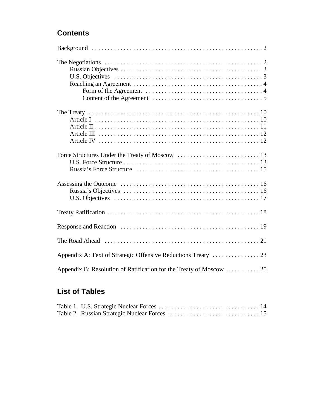## **Contents**

| Appendix B: Resolution of Ratification for the Treaty of Moscow 25 |
|--------------------------------------------------------------------|

## **List of Tables**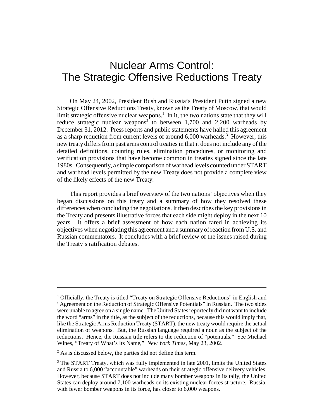## Nuclear Arms Control: The Strategic Offensive Reductions Treaty

On May 24, 2002, President Bush and Russia's President Putin signed a new Strategic Offensive Reductions Treaty, known as the Treaty of Moscow, that would limit strategic offensive nuclear weapons.<sup>1</sup> In it, the two nations state that they will reduce strategic nuclear weapons<sup>2</sup> to between  $1,700$  and  $2,200$  warheads by December 31, 2012. Press reports and public statements have hailed this agreement as a sharp reduction from current levels of around 6,000 warheads.<sup>3</sup> However, this new treaty differs from past arms control treaties in that it does not include any of the detailed definitions, counting rules, elimination procedures, or monitoring and verification provisions that have become common in treaties signed since the late 1980s. Consequently, a simple comparison of warhead levels counted under START and warhead levels permitted by the new Treaty does not provide a complete view of the likely effects of the new Treaty.

This report provides a brief overview of the two nations' objectives when they began discussions on this treaty and a summary of how they resolved these differences when concluding the negotiations. It then describes the key provisions in the Treaty and presents illustrative forces that each side might deploy in the next 10 years. It offers a brief assessment of how each nation fared in achieving its objectives when negotiating this agreement and a summary of reaction from U.S. and Russian commentators. It concludes with a brief review of the issues raised during the Treaty's ratification debates.

<sup>&</sup>lt;sup>1</sup> Officially, the Treaty is titled "Treaty on Strategic Offensive Reductions" in English and "Agreement on the Reduction of Strategic Offensive Potentials" in Russian. The two sides were unable to agree on a single name. The United States reportedly did not want to include the word "arms" in the title, as the subject of the reductions, because this would imply that, like the Strategic Arms Reduction Treaty (START), the new treaty would require the actual elimination of weapons. But, the Russian language required a noun as the subject of the reductions. Hence, the Russian title refers to the reduction of "potentials." See Michael Wines, "Treaty of What's Its Name," *New York Times*, May 23, 2002.

 $2^2$  As is discussed below, the parties did not define this term.

<sup>&</sup>lt;sup>3</sup> The START Treaty, which was fully implemented in late 2001, limits the United States and Russia to 6,000 "accountable" warheads on their strategic offensive delivery vehicles. However, because START does not include many bomber weapons in its tally, the United States can deploy around 7,100 warheads on its existing nuclear forces structure. Russia, with fewer bomber weapons in its force, has closer to 6,000 weapons.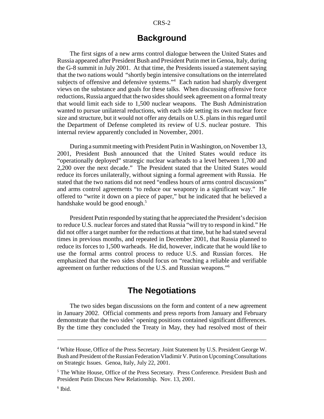## **Background**

The first signs of a new arms control dialogue between the United States and Russia appeared after President Bush and President Putin met in Genoa, Italy, during the G-8 summit in July 2001. At that time, the Presidents issued a statement saying that the two nations would "shortly begin intensive consultations on the interrelated subjects of offensive and defensive systems."4 Each nation had sharply divergent views on the substance and goals for these talks. When discussing offensive force reductions, Russia argued that the two sides should seek agreement on a formal treaty that would limit each side to 1,500 nuclear weapons. The Bush Administration wanted to pursue unilateral reductions, with each side setting its own nuclear force size and structure, but it would not offer any details on U.S. plans in this regard until the Department of Defense completed its review of U.S. nuclear posture. This internal review apparently concluded in November, 2001.

During a summit meeting with President Putin in Washington, on November 13, 2001, President Bush announced that the United States would reduce its "operationally deployed" strategic nuclear warheads to a level between 1,700 and 2,200 over the next decade." The President stated that the United States would reduce its forces unilaterally, without signing a formal agreement with Russia. He stated that the two nations did not need "endless hours of arms control discussions" and arms control agreements "to reduce our weaponry in a significant way." He offered to "write it down on a piece of paper," but he indicated that he believed a handshake would be good enough.<sup>5</sup>

President Putin responded by stating that he appreciated the President's decision to reduce U.S. nuclear forces and stated that Russia "will try to respond in kind." He did not offer a target number for the reductions at that time, but he had stated several times in previous months, and repeated in December 2001, that Russia planned to reduce its forces to 1,500 warheads. He did, however, indicate that he would like to use the formal arms control process to reduce U.S. and Russian forces. He emphasized that the two sides should focus on "reaching a reliable and verifiable agreement on further reductions of the U.S. and Russian weapons."6

## **The Negotiations**

The two sides began discussions on the form and content of a new agreement in January 2002. Official comments and press reports from January and February demonstrate that the two sides' opening positions contained significant differences. By the time they concluded the Treaty in May, they had resolved most of their

<sup>&</sup>lt;sup>4</sup> White House, Office of the Press Secretary. Joint Statement by U.S. President George W. Bush and President of the Russian Federation Vladimir V. Putin on Upcoming Consultations on Strategic Issues. Genoa, Italy, July 22, 2001.

<sup>&</sup>lt;sup>5</sup> The White House, Office of the Press Secretary. Press Conference. President Bush and President Putin Discuss New Relationship. Nov. 13, 2001.

<sup>6</sup> Ibid.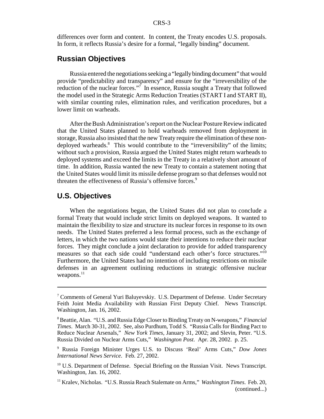differences over form and content. In content, the Treaty encodes U.S. proposals. In form, it reflects Russia's desire for a formal, "legally binding" document.

## **Russian Objectives**

Russia entered the negotiations seeking a "legally binding document" that would provide "predictability and transparency" and ensure for the "irreversibility of the reduction of the nuclear forces."<sup>7</sup> In essence, Russia sought a Treaty that followed the model used in the Strategic Arms Reduction Treaties (START I and START II), with similar counting rules, elimination rules, and verification procedures, but a lower limit on warheads.

After the Bush Administration's report on the Nuclear Posture Review indicated that the United States planned to hold warheads removed from deployment in storage, Russia also insisted that the new Treaty require the elimination of these nondeployed warheads.<sup>8</sup> This would contribute to the "irreversibility" of the limits; without such a provision, Russia argued the United States might return warheads to deployed systems and exceed the limits in the Treaty in a relatively short amount of time. In addition, Russia wanted the new Treaty to contain a statement noting that the United States would limit its missile defense program so that defenses would not threaten the effectiveness of Russia's offensive forces.<sup>9</sup>

## **U.S. Objectives**

When the negotiations began, the United States did not plan to conclude a formal Treaty that would include strict limits on deployed weapons. It wanted to maintain the flexibility to size and structure its nuclear forces in response to its own needs. The United States preferred a less formal process, such as the exchange of letters, in which the two nations would state their intentions to reduce their nuclear forces. They might conclude a joint declaration to provide for added transparency measures so that each side could "understand each other's force structures."10 Furthermore, the United States had no intention of including restrictions on missile defenses in an agreement outlining reductions in strategic offensive nuclear weapons. $^{11}$ 

<sup>&</sup>lt;sup>7</sup> Comments of General Yuri Baluyevskiy. U.S. Department of Defense. Under Secretary Feith Joint Media Availability with Russian First Deputy Chief. News Transcript. Washington, Jan. 16, 2002.

<sup>8</sup> Beattie, Alan. "U.S. and Russia Edge Closer to Binding Treaty on N-weapons," *Financial Times*. March 30-31, 2002. See, also Purdhum, Todd S. "Russia Calls for Binding Pact to Reduce Nuclear Arsenals," *New York Times*, January 31, 2002; and Slevin, Peter. "U.S. Russia Divided on Nuclear Arms Cuts," *Washington Post*. Apr. 28, 2002. p. 25.

<sup>9</sup> Russia Foreign Minister Urges U.S. to Discuss 'Real' Arms Cuts," *Dow Jones International News Service*. Feb. 27, 2002.

 $10$  U.S. Department of Defense. Special Briefing on the Russian Visit. News Transcript. Washington, Jan. 16, 2002.

<sup>11</sup> Kralev, Nicholas. "U.S. Russia Reach Stalemate on Arms," *Washington Times*. Feb. 20, (continued...)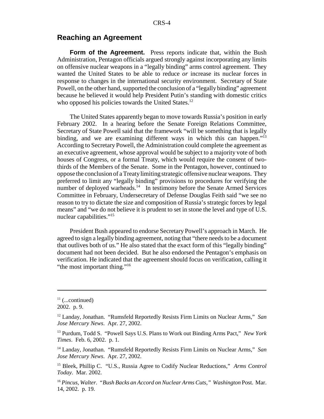## **Reaching an Agreement**

**Form of the Agreement.** Press reports indicate that, within the Bush Administration, Pentagon officials argued strongly against incorporating any limits on offensive nuclear weapons in a "legally binding" arms control agreement. They wanted the United States to be able to reduce *or* increase its nuclear forces in response to changes in the international security environment. Secretary of State Powell, on the other hand, supported the conclusion of a "legally binding" agreement because he believed it would help President Putin's standing with domestic critics who opposed his policies towards the United States.<sup>12</sup>

The United States apparently began to move towards Russia's position in early February 2002. In a hearing before the Senate Foreign Relations Committee, Secretary of State Powell said that the framework "will be something that is legally binding, and we are examining different ways in which this can happen."<sup>13</sup> According to Secretary Powell, the Administration could complete the agreement as an executive agreement, whose approval would be subject to a majority vote of both houses of Congress, or a formal Treaty, which would require the consent of twothirds of the Members of the Senate. Some in the Pentagon, however, continued to oppose the conclusion of a Treaty limiting strategic offensive nuclear weapons. They preferred to limit any "legally binding" provisions to procedures for verifying the number of deployed warheads.<sup>14</sup> In testimony before the Senate Armed Services Committee in February, Undersecretary of Defense Douglas Feith said "we see no reason to try to dictate the size and composition of Russia's strategic forces by legal means" and "we do not believe it is prudent to set in stone the level and type of U.S. nuclear capabilities."15

President Bush appeared to endorse Secretary Powell's approach in March. He agreed to sign a legally binding agreement, noting that "there needs to be a document that outlives both of us." He also stated that the exact form of this "legally binding" document had not been decided. But he also endorsed the Pentagon's emphasis on verification. He indicated that the agreement should focus on verification, calling it "the most important thing."<sup>16</sup>

 $11$  (...continued)

<sup>2002.</sup> p. 9.

<sup>12</sup> Landay, Jonathan. "Rumsfeld Reportedly Resists Firm Limits on Nuclear Arms," *San Jose Mercury News*. Apr. 27, 2002.

<sup>13</sup> Purdum, Todd S. "Powell Says U.S. Plans to Work out Binding Arms Pact," *New York Times*. Feb. 6, 2002. p. 1.

<sup>14</sup> Landay, Jonathan. "Rumsfeld Reportedly Resists Firm Limits on Nuclear Arms," *San Jose Mercury News*. Apr. 27, 2002.

<sup>15</sup> Bleek, Phillip C. "U.S., Russia Agree to Codify Nuclear Reductions," *Arms Control Today*. Mar. 2002.

<sup>16</sup> *Pincus, Walter. "Bush Backs an Accord on Nuclear Arms Cuts," Washington* Post. Mar. 14, 2002. p. 19.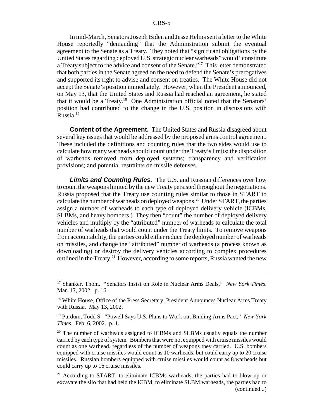In mid-March, Senators Joseph Biden and Jesse Helms sent a letter to the White House reportedly "demanding" that the Administration submit the eventual agreement to the Senate as a Treaty. They noted that "significant obligations by the United States regarding deployed U.S. strategic nuclear warheads" would "constitute a Treaty subject to the advice and consent of the Senate."17 This letter demonstrated that both parties in the Senate agreed on the need to defend the Senate's prerogatives and supported its right to advise and consent on treaties. The White House did not accept the Senate's position immediately. However, when the President announced, on May 13, that the United States and Russia had reached an agreement, he stated that it would be a Treaty.18 One Administration official noted that the Senators' position had contributed to the change in the U.S. position in discussions with Russia. $19$ 

**Content of the Agreement.** The United States and Russia disagreed about several key issues that would be addressed by the proposed arms control agreement. These included the definitions and counting rules that the two sides would use to calculate how many warheads should count under the Treaty's limits; the disposition of warheads removed from deployed systems; transparency and verification provisions; and potential restraints on missile defenses.

*Limits and Counting Rules.* The U.S. and Russian differences over how to count the weapons limited by the new Treaty persisted throughout the negotiations. Russia proposed that the Treaty use counting rules similar to those in START to calculate the number of warheads on deployed weapons.20 Under START, the parties assign a number of warheads to each type of deployed delivery vehicle (ICBMs, SLBMs, and heavy bombers.) They then "count" the number of deployed delivery vehicles and multiply by the "attributed" number of warheads to calculate the total number of warheads that would count under the Treaty limits. To remove weapons from accountability, the parties could either reduce the deployed number of warheads on missiles, and change the "attributed" number of warheads (a process known as downloading) or destroy the delivery vehicles according to complex procedures outlined in the Treaty.<sup>21</sup> However, according to some reports, Russia wanted the new

<sup>17</sup> Shanker. Thom. "Senators Insist on Role in Nuclear Arms Deals," *New York Times*. Mar. 17, 2002. p. 16.

<sup>&</sup>lt;sup>18</sup> White House, Office of the Press Secretary. President Announces Nuclear Arms Treaty with Russia. May 13, 2002.

<sup>19</sup> Purdum, Todd S. "Powell Says U.S. Plans to Work out Binding Arms Pact," *New York Times*. Feb. 6, 2002. p. 1.

 $20$  The number of warheads assigned to ICBMs and SLBMs usually equals the number carried by each type of system. Bombers that were not equipped with cruise missiles would count as one warhead, regardless of the number of weapons they carried. U.S. bombers equipped with cruise missiles would count as 10 warheads, but could carry up to 20 cruise missiles. Russian bombers equipped with cruise missiles would count as 8 warheads but could carry up to 16 cruise missiles.

<sup>&</sup>lt;sup>21</sup> According to START, to eliminate ICBMs warheads, the parties had to blow up or excavate the silo that had held the ICBM, to eliminate SLBM warheads, the parties had to (continued...)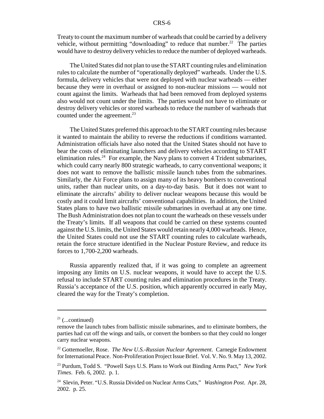Treaty to count the maximum number of warheads that could be carried by a delivery vehicle, without permitting "downloading" to reduce that number.<sup>22</sup> The parties would have to destroy delivery vehicles to reduce the number of deployed warheads.

The United States did not plan to use the START counting rules and elimination rules to calculate the number of "operationally deployed" warheads. Under the U.S. formula, delivery vehicles that were not deployed with nuclear warheads — either because they were in overhaul or assigned to non-nuclear missions — would not count against the limits. Warheads that had been removed from deployed systems also would not count under the limits. The parties would not have to eliminate or destroy delivery vehicles or stored warheads to reduce the number of warheads that counted under the agreement.<sup>23</sup>

The United States preferred this approach to the START counting rules because it wanted to maintain the ability to reverse the reductions if conditions warranted. Administration officials have also noted that the United States should not have to bear the costs of eliminating launchers and delivery vehicles according to START elimination rules.<sup>24</sup> For example, the Navy plans to convert 4 Trident submarines, which could carry nearly 800 strategic warheads, to carry conventional weapons; it does not want to remove the ballistic missile launch tubes from the submarines. Similarly, the Air Force plans to assign many of its heavy bombers to conventional units, rather than nuclear units, on a day-to-day basis. But it does not want to eliminate the aircrafts' ability to deliver nuclear weapons because this would be costly and it could limit aircrafts' conventional capabilities. In addition, the United States plans to have two ballistic missile submarines in overhaul at any one time. The Bush Administration does not plan to count the warheads on these vessels under the Treaty's limits. If all weapons that could be carried on these systems counted against the U.S. limits, the United States would retain nearly 4,000 warheads. Hence, the United States could not use the START counting rules to calculate warheads, retain the force structure identified in the Nuclear Posture Review, and reduce its forces to 1,700-2,200 warheads.

Russia apparently realized that, if it was going to complete an agreement imposing any limits on U.S. nuclear weapons, it would have to accept the U.S. refusal to include START counting rules and elimination procedures in the Treaty. Russia's acceptance of the U.S. position, which apparently occurred in early May, cleared the way for the Treaty's completion.

 $21$  (...continued)

remove the launch tubes from ballistic missile submarines, and to eliminate bombers, the parties had cut off the wings and tails, or convert the bombers so that they could no longer carry nuclear weapons.

<sup>22</sup> Gottemoeller, Rose. *The New U.S.-Russian Nuclear Agreement*. Carnegie Endowment for International Peace. Non-Proliferation Project Issue Brief. Vol. V. No. 9. May 13, 2002.

<sup>23</sup> Purdum, Todd S. "Powell Says U.S. Plans to Work out Binding Arms Pact," *New York Times*. Feb. 6, 2002. p. 1.

<sup>24</sup> Slevin, Peter. "U.S. Russia Divided on Nuclear Arms Cuts," *Washington Post*. Apr. 28, 2002. p. 25.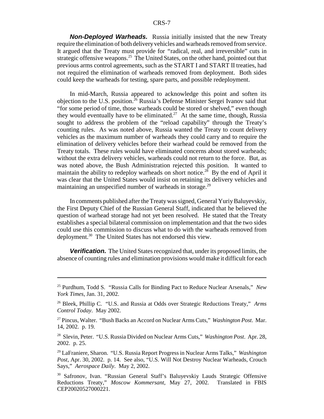*Non-Deployed Warheads.* Russia initially insisted that the new Treaty require the elimination of both delivery vehicles and warheads removed from service. It argued that the Treaty must provide for *"*radical, real, and irreversible" cuts in strategic offensive weapons.<sup>25</sup> The United States, on the other hand, pointed out that previous arms control agreements, such as the START I and START II treaties, had not required the elimination of warheads removed from deployment. Both sides could keep the warheads for testing, spare parts, and possible redeployment.

In mid-March, Russia appeared to acknowledge this point and soften its objection to the U.S. position.<sup>26</sup> Russia's Defense Minister Sergei Ivanov said that "for some period of time, those warheads could be stored or shelved," even though they would eventually have to be eliminated.<sup>27</sup> At the same time, though, Russia sought to address the problem of the "reload capability" through the Treaty's counting rules. As was noted above, Russia wanted the Treaty to count delivery vehicles as the maximum number of warheads they could carry and to require the elimination of delivery vehicles before their warhead could be removed from the Treaty totals. These rules would have eliminated concerns about stored warheads; without the extra delivery vehicles, warheads could not return to the force. But, as was noted above, the Bush Administration rejected this position. It wanted to maintain the ability to redeploy warheads on short notice.<sup>28</sup> By the end of April it was clear that the United States would insist on retaining its delivery vehicles and maintaining an unspecified number of warheads in storage.<sup>29</sup>

In comments published after the Treaty was signed, General Yuriy Baluyevskiy, the First Deputy Chief of the Russian General Staff, indicated that he believed the question of warhead storage had not yet been resolved. He stated that the Treaty establishes a special bilateral commission on implementation and that the two sides could use this commission to discuss what to do with the warheads removed from deployment.<sup>30</sup> The United States has not endorsed this view.

*Verification.* The United States recognized that, under its proposed limits, the absence of counting rules and elimination provisions would make it difficult for each

<sup>25</sup> Purdhum, Todd S. "Russia Calls for Binding Pact to Reduce Nuclear Arsenals," *New York Times*, Jan. 31, 2002.

<sup>26</sup> Bleek, Phillip C. "U.S. and Russia at Odds over Strategic Reductions Treaty," *Arms Control Today*. May 2002.

<sup>27</sup> Pincus, Walter. "Bush Backs an Accord on Nuclear Arms Cuts," *Washington Post*. Mar. 14, 2002. p. 19.

<sup>28</sup> Slevin, Peter. "U.S. Russia Divided on Nuclear Arms Cuts," *Washington Post*. Apr. 28, 2002. p. 25.

<sup>29</sup> LaFraniere, Sharon. "U.S. Russia Report Progress in Nuclear Arms Talks," *Washington Post*, Apr. 30, 2002. p. 14. See also, "U.S. Will Not Destroy Nuclear Warheads, Crouch Says," *Aerospace Daily*. May 2, 2002.

<sup>30</sup> Safronov, Ivan. "Russian General Staff's Baluyevskiy Lauds Strategic Offensive Reductions Treaty," *Moscow Kommersant*, May 27, 2002. Translated in FBIS CEP20020527000221.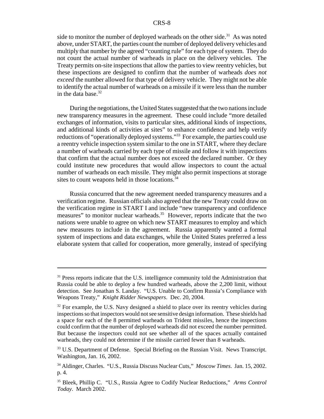side to monitor the number of deployed warheads on the other side. $31$  As was noted above, under START, the parties count the number of deployed delivery vehicles and multiply that number by the agreed "counting rule" for each type of system. They do not count the actual number of warheads in place on the delivery vehicles. The Treaty permits on-site inspections that allow the parties to view reentry vehicles, but these inspections are designed to confirm that the number of warheads *does not exceed* the number allowed for that type of delivery vehicle. They might not be able to identify the actual number of warheads on a missile if it were less than the number in the data base. $32$ 

During the negotiations, the United States suggested that the two nations include new transparency measures in the agreement. These could include "more detailed exchanges of information, visits to particular sites, additional kinds of inspections, and additional kinds of activities at sites" to enhance confidence and help verify reductions of "operationally deployed systems."33 For example, the parties could use a reentry vehicle inspection system similar to the one in START, where they declare a number of warheads carried by each type of missile and follow it with inspections that confirm that the actual number does not exceed the declared number. Or they could institute new procedures that would allow inspectors to count the actual number of warheads on each missile. They might also permit inspections at storage sites to count weapons held in those locations.<sup>34</sup>

Russia concurred that the new agreement needed transparency measures and a verification regime. Russian officials also agreed that the new Treaty could draw on the verification regime in START I and include "new transparency and confidence measures" to monitor nuclear warheads.<sup>35</sup> However, reports indicate that the two nations were unable to agree on which new START measures to employ and which new measures to include in the agreement. Russia apparently wanted a formal system of inspections and data exchanges, while the United States preferred a less elaborate system that called for cooperation, more generally, instead of specifying

<sup>&</sup>lt;sup>31</sup> Press reports indicate that the U.S. intelligence community told the Administration that Russia could be able to deploy a few hundred warheads, above the 2,200 limit, without detection. See Jonathan S. Landay. "U.S. Unable to Confirm Russia's Compliance with Weapons Treaty," *Knight Ridder Newspapers*. Dec. 20, 2004.

 $32$  For example, the U.S. Navy designed a shield to place over its reentry vehicles during inspections so that inspectors would not see sensitive design information. These shields had a space for each of the 8 permitted warheads on Trident missiles, hence the inspections could confirm that the number of deployed warheads did not exceed the number permitted. But because the inspectors could not see whether all of the spaces actually contained warheads, they could not determine if the missile carried fewer than 8 warheads.

<sup>&</sup>lt;sup>33</sup> U.S. Department of Defense. Special Briefing on the Russian Visit. News Transcript. Washington, Jan. 16, 2002.

<sup>34</sup> Aldinger, Charles. "U.S., Russia Discuss Nuclear Cuts," *Moscow Times*. Jan. 15, 2002. p. 4.

<sup>35</sup> Bleek, Phillip C. "U.S., Russia Agree to Codify Nuclear Reductions," *Arms Control Today*. March 2002.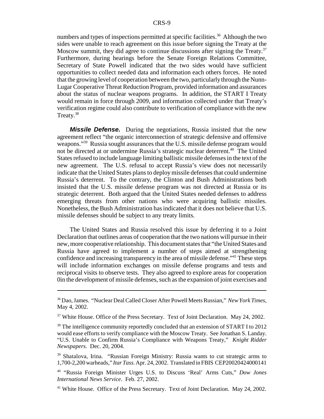numbers and types of inspections permitted at specific facilities.<sup>36</sup> Although the two sides were unable to reach agreement on this issue before signing the Treaty at the Moscow summit, they did agree to continue discussions after signing the Treaty.<sup>37</sup> Furthermore, during hearings before the Senate Foreign Relations Committee, Secretary of State Powell indicated that the two sides would have sufficient opportunities to collect needed data and information each others forces. He noted that the growing level of cooperation between the two, particularly through the Nunn-Lugar Cooperative Threat Reduction Program, provided information and assurances about the status of nuclear weapons programs. In addition, the START I Treaty would remain in force through 2009, and information collected under that Treaty's verification regime could also contribute to verification of compliance with the new Treaty.<sup>38</sup>

*Missile Defense.* During the negotiations, Russia insisted that the new agreement reflect "the organic interconnection of strategic defensive and offensive weapons."39 Russia sought assurances that the U.S. missile defense program would not be directed at or undermine Russia's strategic nuclear deterrent.<sup>40</sup> The United States refused to include language limiting ballistic missile defenses in the text of the new agreement. The U.S. refusal to accept Russia's view does not necessarily indicate that the United States plans to deploy missile defenses that could undermine Russia's deterrent. To the contrary, the Clinton and Bush Administrations both insisted that the U.S. missile defense program was not directed at Russia or its strategic deterrent. Both argued that the United States needed defenses to address emerging threats from other nations who were acquiring ballistic missiles. Nonetheless, the Bush Administration has indicated that it does not believe that U.S. missile defenses should be subject to any treaty limits.

The United States and Russia resolved this issue by deferring it to a Joint Declaration that outlines areas of cooperation that the two nations will pursue in their new, more cooperative relationship. This document states that "the United States and Russia have agreed to implement a number of steps aimed at strengthening confidence and increasing transparency in the area of missile defense."41 These steps will include information exchanges on missile defense programs and tests and reciprocal visits to observe tests. They also agreed to explore areas for cooperation 0in the development of missile defenses, such as the expansion of joint exercises and

<sup>36</sup> Dao, James. "Nuclear Deal Called Closer After Powell Meets Russian," *New York Times*, May 4, 2002.

 $37$  White House. Office of the Press Secretary. Text of Joint Declaration. May 24, 2002.

<sup>&</sup>lt;sup>38</sup> The intelligence community reportedly concluded that an extension of START I to 2012 would ease efforts to verify compliance with the Moscow Treaty. See Jonathan S. Landay. "U.S. Unable to Confirm Russia's Compliance with Weapons Treaty," *Knight Ridder Newspapers*. Dec. 20, 2004.

<sup>39</sup> Shatalova, Irina. "Russian Foreign Ministry: Russia wants to cut strategic arms to 1,700-2,200 warheads," *Itar Tass*. Apr. 24, 2002. Translated in FBIS CEP20020424000141

<sup>40 &</sup>quot;Russia Foreign Minister Urges U.S. to Discuss 'Real' Arms Cuts," *Dow Jones International News Service*. Feb. 27, 2002.

<sup>&</sup>lt;sup>41</sup> White House. Office of the Press Secretary. Text of Joint Declaration. May 24, 2002.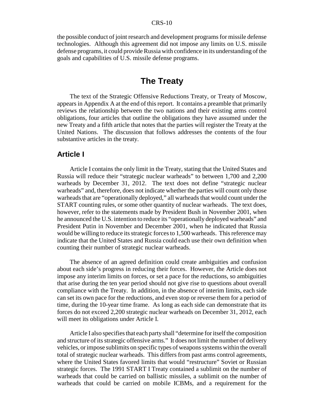the possible conduct of joint research and development programs for missile defense technologies. Although this agreement did not impose any limits on U.S. missile defense programs, it could provide Russia with confidence in its understanding of the goals and capabilities of U.S. missile defense programs.

## **The Treaty**

The text of the Strategic Offensive Reductions Treaty, or Treaty of Moscow, appears in Appendix A at the end of this report. It contains a preamble that primarily reviews the relationship between the two nations and their existing arms control obligations, four articles that outline the obligations they have assumed under the new Treaty and a fifth article that notes that the parties will register the Treaty at the United Nations. The discussion that follows addresses the contents of the four substantive articles in the treaty.

## **Article I**

Article I contains the only limit in the Treaty, stating that the United States and Russia will reduce their "strategic nuclear warheads" to between 1,700 and 2,200 warheads by December 31, 2012. The text does not define "strategic nuclear warheads" and, therefore, does not indicate whether the parties will count only those warheads that are "operationally deployed," all warheads that would count under the START counting rules, or some other quantity of nuclear warheads. The text does, however, refer to the statements made by President Bush in November 2001, when he announced the U.S. intention to reduce its "operationally deployed warheads" and President Putin in November and December 2001, when he indicated that Russia would be willing to reduce its strategic forces to 1,500 warheads. This reference may indicate that the United States and Russia could each use their own definition when counting their number of strategic nuclear warheads.

The absence of an agreed definition could create ambiguities and confusion about each side's progress in reducing their forces. However, the Article does not impose any interim limits on forces, or set a pace for the reductions, so ambiguities that arise during the ten year period should not give rise to questions about overall compliance with the Treaty. In addition, in the absence of interim limits, each side can set its own pace for the reductions, and even stop or reverse them for a period of time, during the 10-year time frame. As long as each side can demonstrate that its forces do not exceed 2,200 strategic nuclear warheads on December 31, 2012, each will meet its obligations under Article I.

Article I also specifies that each party shall "determine for itself the composition and structure of its strategic offensive arms." It does not limit the number of delivery vehicles, or impose sublimits on specific types of weapons systems within the overall total of strategic nuclear warheads. This differs from past arms control agreements, where the United States favored limits that would "restructure" Soviet or Russian strategic forces. The 1991 START I Treaty contained a sublimit on the number of warheads that could be carried on ballistic missiles, a sublimit on the number of warheads that could be carried on mobile ICBMs, and a requirement for the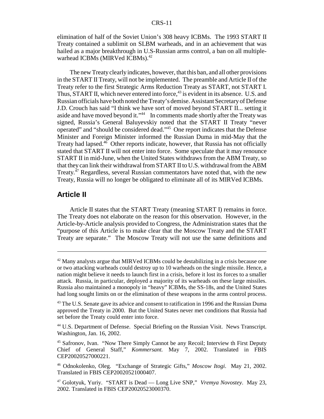elimination of half of the Soviet Union's 308 heavy ICBMs. The 1993 START II Treaty contained a sublimit on SLBM warheads, and in an achievement that was hailed as a major breakthrough in U.S-Russian arms control, a ban on all multiplewarhead ICBMs (MIRVed ICBMs).<sup>42</sup>

The new Treaty clearly indicates, however, that this ban, and all other provisions in the START II Treaty, will not be implemented. The preamble and Article II of the Treaty refer to the first Strategic Arms Reduction Treaty as START, not START I. Thus, START II, which never entered into force,<sup>43</sup> is evident in its absence. U.S. and Russian officials have both noted the Treaty's demise. Assistant Secretary of Defense J.D. Crouch has said "I think we have sort of moved beyond START II... setting it aside and have moved beyond it."<sup>44</sup> In comments made shortly after the Treaty was signed, Russia's General Baluyevskiy noted that the START II Treaty "never operated" and "should be considered dead."45 One report indicates that the Defense Minister and Foreign Minister informed the Russian Duma in mid-May that the Treaty had lapsed.<sup>46</sup> Other reports indicate, however, that Russia has not officially stated that START II will not enter into force. Some speculate that it may renounce START II in mid-June, when the United States withdraws from the ABM Treaty, so that they can link their withdrawal from START II to U.S. withdrawal from the ABM Treaty. $47$  Regardless, several Russian commentators have noted that, with the new Treaty, Russia will no longer be obligated to eliminate all of its MIRVed ICBMs.

## **Article II**

Article II states that the START Treaty (meaning START I) remains in force. The Treaty does not elaborate on the reason for this observation. However, in the Article-by-Article analysis provided to Congress, the Administration states that the "purpose of this Article is to make clear that the Moscow Treaty and the START Treaty are separate." The Moscow Treaty will not use the same definitions and

 $42$  Many analysts argue that MIRVed ICBMs could be destabilizing in a crisis because one or two attacking warheads could destroy up to 10 warheads on the single missile. Hence, a nation might believe it needs to launch first in a crisis, before it lost its forces to a smaller attack. Russia, in particular, deployed a majority of its warheads on these large missiles. Russia also maintained a monopoly in "heavy" ICBMs, the SS-18s, and the United States had long sought limits on or the elimination of these weapons in the arms control process.

<sup>&</sup>lt;sup>43</sup> The U.S. Senate gave its advice and consent to ratification in 1996 and the Russian Duma approved the Treaty in 2000. But the United States never met conditions that Russia had set before the Treaty could enter into force.

<sup>44</sup> U.S. Department of Defense. Special Briefing on the Russian Visit. News Transcript. Washington, Jan. 16, 2002.

<sup>&</sup>lt;sup>45</sup> Safronov, Ivan. "Now There Simply Cannot be any Recoil; Interview th First Deputy Chief of General Staff," *Kommersant.* May 7, 2002. Translated in FBIS CEP20020527000221.

<sup>46</sup> Odnokolenko, Oleg. "Exchange of Strategic Gifts," *Moscow Itogi*. May 21, 2002. Translated in FBIS CEP20020521000407.

<sup>47</sup> Golotyuk, Yuriy. "START is Dead — Long Live SNP," *Vremya Novostey*. May 23, 2002. Translated in FBIS CEP20020523000370.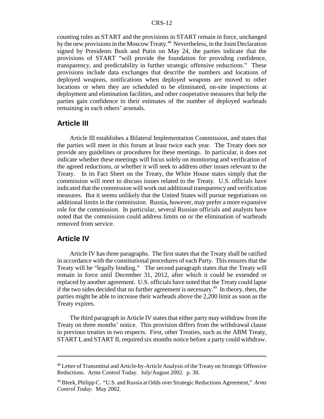counting rules as START and the provisions in START remain in force, unchanged by the new provisions in the Moscow Treaty.48 Nevertheless, in the Joint Declaration signed by Presidents Bush and Putin on May 24, the parties indicate that the provisions of START "will provide the foundation for providing confidence, transparency, and predictability in further strategic offensive reductions." These provisions include data exchanges that describe the numbers and locations of deployed weapons, notifications when deployed weapons are moved to other locations or when they are scheduled to be eliminated, on-site inspections at deployment and elimination facilities, and other cooperative measures that help the parties gain confidence in their estimates of the number of deployed warheads remaining in each others' arsenals.

## **Article III**

Article III establishes a Bilateral Implementation Commission, and states that the parties will meet in this forum at least twice each year. The Treaty does not provide any guidelines or procedures for these meetings. In particular, it does not indicate whether these meetings will focus solely on monitoring and verification of the agreed reductions, or whether it will seek to address other issues relevant to the Treaty. In its Fact Sheet on the Treaty, the White House states simply that the commission will meet to discuss issues related to the Treaty. U.S. officials have indicated that the commission will work out additional transparency and verification measures. But it seems unlikely that the United States will pursue negotiations on additional limits in the commission. Russia, however, may prefer a more expansive role for the commission. In particular, several Russian officials and analysts have noted that the commission could address limits on or the elimination of warheads removed from service.

## **Article IV**

Article IV has three paragraphs. The first states that the Treaty shall be ratified in accordance with the constitutional procedures of each Party. This ensures that the Treaty will be "legally binding." The second paragraph states that the Treaty will remain in force until December 31, 2012, after which it could be extended or replaced by another agreement. U.S. officials have noted that the Treaty could lapse if the two sides decided that no further agreement is necessary.49 In theory, then, the parties might be able to increase their warheads above the 2,200 limit as soon as the Treaty expires.

The third paragraph in Article IV states that either party may withdraw from the Treaty on three months' notice. This provision differs from the withdrawal clause in previous treaties in two respects. First, other Treaties, such as the ABM Treaty, START I, and START II, required six months notice before a party could withdraw.

<sup>&</sup>lt;sup>48</sup> Letter of Transmittal and Article-by-Article Analysis of the Treaty on Strategic Offensive Reductions. Arms Control Today. July/August 2002. p. 30.

<sup>49</sup> Bleek, Philipp C. "U.S. and Russia at Odds over Strategic Reductions Agreement," *Arms Control Today*. May 2002.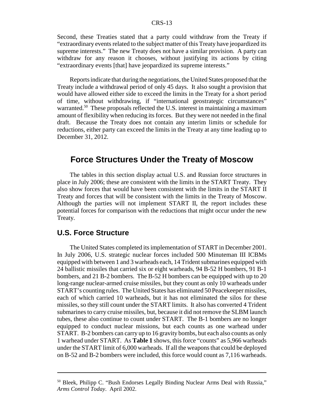Second, these Treaties stated that a party could withdraw from the Treaty if "extraordinary events related to the subject matter of this Treaty have jeopardized its supreme interests." The new Treaty does not have a similar provision. A party can withdraw for any reason it chooses, without justifying its actions by citing "extraordinary events [that] have jeopardized its supreme interests."

Reports indicate that during the negotiations, the United States proposed that the Treaty include a withdrawal period of only 45 days. It also sought a provision that would have allowed either side to exceed the limits in the Treaty for a short period of time, without withdrawing, if "international geostrategic circumstances" warranted.<sup>50</sup> These proposals reflected the U.S. interest in maintaining a maximum amount of flexibility when reducing its forces. But they were not needed in the final draft. Because the Treaty does not contain any interim limits or schedule for reductions, either party can exceed the limits in the Treaty at any time leading up to December 31, 2012.

## **Force Structures Under the Treaty of Moscow**

The tables in this section display actual U.S. and Russian force structures in place in July 2006; these are consistent with the limits in the START Treaty. They also show forces that would have been consistent with the limits in the START II Treaty and forces that will be consistent with the limits in the Treaty of Moscow. Although the parties will not implement START II, the report includes these potential forces for comparison with the reductions that might occur under the new Treaty.

## **U.S. Force Structure**

The United States completed its implementation of START in December 2001. In July 2006, U.S. strategic nuclear forces included 500 Minuteman III ICBMs equipped with between 1 and 3 warheads each, 14 Trident submarines equipped with 24 ballistic missiles that carried six or eight warheads, 94 B-52 H bombers, 91 B-1 bombers, and 21 B-2 bombers. The B-52 H bombers can be equipped with up to 20 long-range nuclear-armed cruise missiles, but they count as only 10 warheads under START's counting rules. The United States has eliminated 50 Peacekeeper missiles, each of which carried 10 warheads, but it has not eliminated the silos for these missiles, so they still count under the START limits. It also has converted 4 Trident submarines to carry cruise missiles, but, because it did not remove the SLBM launch tubes, these also continue to count under START. The B-1 bombers are no longer equipped to conduct nuclear missions, but each counts as one warhead under START. B-2 bombers can carry up to 16 gravity bombs, but each also counts as only 1 warhead under START. As **Table 1** shows, this force "counts" as 5,966 warheads under the START limit of 6,000 warheads. If all the weapons that could be deployed on B-52 and B-2 bombers were included, this force would count as 7,116 warheads.

<sup>&</sup>lt;sup>50</sup> Bleek, Philipp C. "Bush Endorses Legally Binding Nuclear Arms Deal with Russia," *Arms Control Today*. April 2002.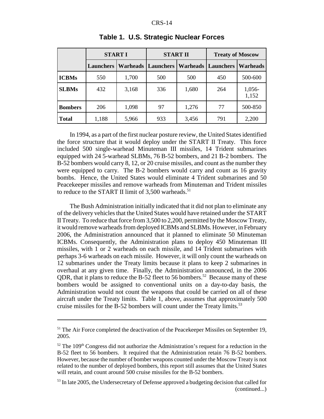|                | <b>START I</b>   |                 | <b>START II</b>  |                 | <b>Treaty of Moscow</b> |                 |
|----------------|------------------|-----------------|------------------|-----------------|-------------------------|-----------------|
|                | <b>Launchers</b> | <b>Warheads</b> | <b>Launchers</b> | <b>Warheads</b> | <b>Launchers</b>        | Warheads        |
| <b>ICBMs</b>   | 550              | 1,700           | 500              | 500             | 450                     | 500-600         |
| <b>SLBMs</b>   | 432              | 3,168           | 336              | 1,680           | 264                     | 1,056-<br>1,152 |
| <b>Bombers</b> | 206              | 1,098           | 97               | 1,276           | 77                      | 500-850         |
| <b>Total</b>   | 1,188            | 5,966           | 933              | 3,456           | 791                     | 2,200           |

## **Table 1. U.S. Strategic Nuclear Forces**

In 1994, as a part of the first nuclear posture review, the United States identified the force structure that it would deploy under the START II Treaty. This force included 500 single-warhead Minuteman III missiles, 14 Trident submarines equipped with 24 5-warhead SLBMs, 76 B-52 bombers, and 21 B-2 bombers. The B-52 bombers would carry 8, 12, or 20 cruise missiles, and count as the number they were equipped to carry. The B-2 bombers would carry and count as 16 gravity bombs. Hence, the United States would eliminate 4 Trident submarines and 50 Peacekeeper missiles and remove warheads from Minuteman and Trident missiles to reduce to the START II limit of  $3,500$  warheads.<sup>51</sup>

The Bush Administration initially indicated that it did not plan to eliminate any of the delivery vehicles that the United States would have retained under the START II Treaty. To reduce that force from 3,500 to 2,200, permitted by the Moscow Treaty, it would remove warheads from deployed ICBMs and SLBMs. However, in February 2006, the Administration announced that it planned to eliminate 50 Minuteman ICBMs. Consequently, the Administration plans to deploy 450 Minuteman III missiles, with 1 or 2 warheads on each missile, and 14 Trident submarines with perhaps 3-6 warheads on each missile. However, it will only count the warheads on 12 submarines under the Treaty limits because it plans to keep 2 submarines in overhaul at any given time. Finally, the Administration announced, in the 2006 QDR, that it plans to reduce the B-52 fleet to 56 bombers.<sup>52</sup> Because many of these bombers would be assigned to conventional units on a day-to-day basis, the Administration would not count the weapons that could be carried on all of these aircraft under the Treaty limits. Table 1, above, assumes that approximately 500 cruise missiles for the B-52 bombers will count under the Treaty limits.<sup>53</sup>

<sup>&</sup>lt;sup>51</sup> The Air Force completed the deactivation of the Peacekeeper Missiles on September 19, 2005.

 $52$  The 109<sup>th</sup> Congress did not authorize the Administration's request for a reduction in the B-52 fleet to 56 bombers. It required that the Administration retain 76 B-52 bombers. However, because the number of bomber weapons counted under the Moscow Treaty is not related to the number of deployed bombers, this report still assumes that the United States will retain, and count around 500 cruise missiles for the B-52 bombers.

<sup>&</sup>lt;sup>53</sup> In late 2005, the Undersecretary of Defense approved a budgeting decision that called for (continued...)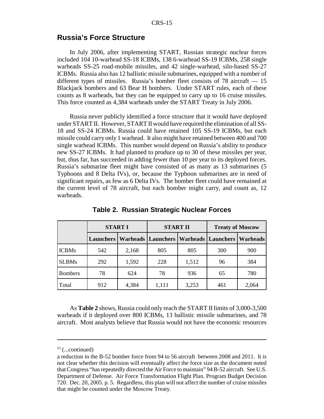## **Russia's Force Structure**

In July 2006, after implementing START, Russian strategic nuclear forces included 104 10-warhead SS-18 ICBMs, 138 6-warhead SS-19 ICBMs, 258 single warheads SS-25 road-mobile missiles, and 42 single-warhead, silo-based SS-27 ICBMs. Russia also has 12 ballistic missile submarines, equipped with a number of different types of missiles. Russia's bomber fleet consists of 78 aircraft — 15 Blackjack bombers and 63 Bear H bombers. Under START rules, each of these counts as 8 warheads, but they can be equipped to carry up to 16 cruise missiles. This force counted as 4,384 warheads under the START Treaty in July 2006.

Russia never publicly identified a force structure that it would have deployed under START II. However, START II would have required the elimination of all SS-18 and SS-24 ICBMs. Russia could have retained 105 SS-19 ICBMs, but each missile could carry only 1 warhead. It also might have retained between 400 and 700 single warhead ICBMs. This number would depend on Russia's ability to produce new SS-27 ICBMs. It had planned to produce up to 30 of these missiles per year, but, thus far, has succeeded in adding fewer than 10 per year to its deployed forces. Russia's submarine fleet might have consisted of as many as 13 submarines (5 Typhoons and 8 Delta IVs), or, because the Typhoon submarines are in need of significant repairs, as few as 6 Delta IVs. The bomber fleet could have remained at the current level of 78 aircraft, but each bomber might carry, and count as, 12 warheads.

|                | <b>START I</b>   |       | <b>START II</b>                             |       | <b>Treaty of Moscow</b> |          |
|----------------|------------------|-------|---------------------------------------------|-------|-------------------------|----------|
|                | <b>Launchers</b> |       | Warheads   Launchers   Warheads   Launchers |       |                         | Warheads |
| <b>ICBMs</b>   | 542              | 2,168 | 805                                         | 805   | 300                     | 900      |
| <b>SLBMs</b>   | 292              | 1,592 | 228                                         | 1,512 | 96                      | 384      |
| <b>Bombers</b> | 78               | 624   | 78                                          | 936   | 65                      | 780      |
| Total          | 912              | 4,384 | 1,111                                       | 3,253 | 461                     | 2,064    |

**Table 2. Russian Strategic Nuclear Forces**

As **Table 2** shows, Russia could only reach the START II limits of 3,000-3,500 warheads if it deployed over 800 ICBMs, 13 ballistic missile submarines, and 78 aircraft. Most analysts believe that Russia would not have the economic resources

 $53$  (...continued)

a reduction in the B-52 bomber force from 94 to 56 aircraft between 2008 and 2011. It is not clear whether this decision will eventually affect the force size as the document noted that Congress "has repeatedly directed the Air Force to maintain" 94 B-52 aircraft. See U.S. Department of Defense. Air Force Transformation Flight Plan. Program Budget Decision 720. Dec. 20, 2005. p. 5. Regardless, this plan will not affect the number of cruise missiles that might be counted under the Moscow Treaty.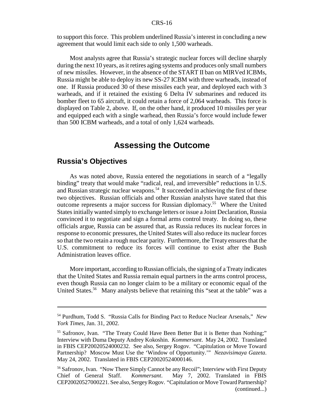to support this force. This problem underlined Russia's interest in concluding a new agreement that would limit each side to only 1,500 warheads.

Most analysts agree that Russia's strategic nuclear forces will decline sharply during the next 10 years, as it retires aging systems and produces only small numbers of new missiles. However, in the absence of the START II ban on MIRVed ICBMs, Russia might be able to deploy its new SS-27 ICBM with three warheads, instead of one. If Russia produced 30 of these missiles each year, and deployed each with 3 warheads, and if it retained the existing 6 Delta IV submarines and reduced its bomber fleet to 65 aircraft, it could retain a force of 2,064 warheads. This force is displayed on Table 2, above. If, on the other hand, it produced 10 missiles per year and equipped each with a single warhead, then Russia's force would include fewer than 500 ICBM warheads, and a total of only 1,624 warheads.

## **Assessing the Outcome**

## **Russia's Objectives**

As was noted above, Russia entered the negotiations in search of a "legally binding" treaty that would make "radical, real, and irreversible" reductions in U.S. and Russian strategic nuclear weapons.<sup>54</sup> It succeeded in achieving the first of these two objectives. Russian officials and other Russian analysts have stated that this outcome represents a major success for Russian diplomacy.55 Where the United States initially wanted simply to exchange letters or issue a Joint Declaration, Russia convinced it to negotiate and sign a formal arms control treaty. In doing so, these officials argue, Russia can be assured that, as Russia reduces its nuclear forces in response to economic pressures, the United States will also reduce its nuclear forces so that the two retain a rough nuclear parity. Furthermore, the Treaty ensures that the U.S. commitment to reduce its forces will continue to exist after the Bush Administration leaves office.

More important, according to Russian officials, the signing of a Treaty indicates that the United States and Russia remain equal partners in the arms control process, even though Russia can no longer claim to be a military or economic equal of the United States.<sup>56</sup> Many analysts believe that retaining this "seat at the table" was a

<sup>54</sup> Purdhum, Todd S. "Russia Calls for Binding Pact to Reduce Nuclear Arsenals," *New York Times*, Jan. 31, 2002.

<sup>&</sup>lt;sup>55</sup> Safronov, Ivan. "The Treaty Could Have Been Better But it is Better than Nothing;" Interview with Duma Deputy Andrey Kokoshin. *Kommersant*. May 24, 2002. Translated in FBIS CEP20020524000232. See also, Sergey Rogov. "Capitulation or Move Toward Partnership? Moscow Must Use the 'Window of Opportunity.'" *Nezavisimaya Gazeta*. May 24, 2002. Translated in FBIS CEP20020524000146.

<sup>&</sup>lt;sup>56</sup> Safronov, Ivan. "Now There Simply Cannot be any Recoil"; Interview with First Deputy Chief of General Staff. *Kommersant*. May 7, 2002. Translated in FBIS CEP20020527000221. See also, Sergey Rogov. "Capitulation or Move Toward Partnership? (continued...)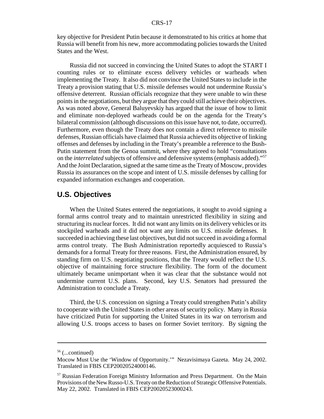key objective for President Putin because it demonstrated to his critics at home that Russia will benefit from his new, more accommodating policies towards the United States and the West.

Russia did not succeed in convincing the United States to adopt the START I counting rules or to eliminate excess delivery vehicles or warheads when implementing the Treaty. It also did not convince the United States to include in the Treaty a provision stating that U.S. missile defenses would not undermine Russia's offensive deterrent. Russian officials recognize that they were unable to win these points in the negotiations, but they argue that they could still achieve their objectives. As was noted above, General Baluyevskiy has argued that the issue of how to limit and eliminate non-deployed warheads could be on the agenda for the Treaty's bilateral commission (although discussions on this issue have not, to date, occurred). Furthermore, even though the Treaty does not contain a direct reference to missile defenses, Russian officials have claimed that Russia achieved its objective of linking offenses and defenses by including in the Treaty's preamble a reference to the Bush-Putin statement from the Genoa summit, where they agreed to hold "consultations on the *interrelated* subjects of offensive and defensive systems (emphasis added)."57 And the Joint Declaration, signed at the same time as the Treaty of Moscow, provides Russia its assurances on the scope and intent of U.S. missile defenses by calling for expanded information exchanges and cooperation.

## **U.S. Objectives**

When the United States entered the negotiations, it sought to avoid signing a formal arms control treaty and to maintain unrestricted flexibility in sizing and structuring its nuclear forces. It did not want any limits on its delivery vehicles or its stockpiled warheads and it did not want any limits on U.S. missile defenses. It succeeded in achieving these last objectives, but did not succeed in avoiding a formal arms control treaty. The Bush Administration reportedly acquiesced to Russia's demands for a formal Treaty for three reasons. First, the Administration ensured, by standing firm on U.S. negotiating positions, that the Treaty would reflect the U.S. objective of maintaining force structure flexibility. The form of the document ultimately became unimportant when it was clear that the substance would not undermine current U.S. plans. Second, key U.S. Senators had pressured the Administration to conclude a Treaty.

Third, the U.S. concession on signing a Treaty could strengthen Putin's ability to cooperate with the United States in other areas of security policy. Many in Russia have criticized Putin for supporting the United States in its war on terrorism and allowing U.S. troops access to bases on former Soviet territory. By signing the

 $56$  (...continued)

Mocow Must Use the 'Window of Opportunity.'" Nezavisimaya Gazeta. May 24, 2002. Translated in FBIS CEP20020524000146.

<sup>&</sup>lt;sup>57</sup> Russian Federation Foreign Ministry Information and Press Department. On the Main Provisions of the New Russo-U.S. Treaty on the Reduction of Strategic Offensive Potentials. May 22, 2002. Translated in FBIS CEP20020523000243.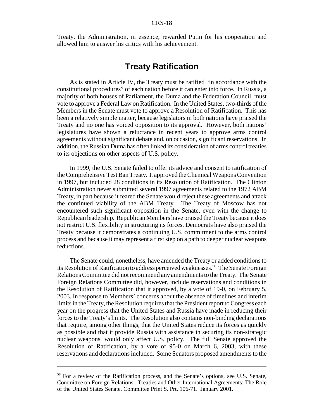Treaty, the Administration, in essence, rewarded Putin for his cooperation and allowed him to answer his critics with his achievement.

## **Treaty Ratification**

As is stated in Article IV, the Treaty must be ratified "in accordance with the constitutional procedures" of each nation before it can enter into force. In Russia, a majority of both houses of Parliament, the Duma and the Federation Council, must vote to approve a Federal Law on Ratification. In the United States, two-thirds of the Members in the Senate must vote to approve a Resolution of Ratification. This has been a relatively simple matter, because legislators in both nations have praised the Treaty and no one has voiced opposition to its approval. However, both nations' legislatures have shown a reluctance in recent years to approve arms control agreements without significant debate and, on occasion, significant reservations. In addition, the Russian Duma has often linked its consideration of arms control treaties to its objections on other aspects of U.S. policy.

In 1999, the U.S. Senate failed to offer its advice and consent to ratification of the Comprehensive Test Ban Treaty. It approved the Chemical Weapons Convention in 1997, but included 28 conditions in its Resolution of Ratification. The Clinton Administration never submitted several 1997 agreements related to the 1972 ABM Treaty, in part because it feared the Senate would reject these agreements and attack the continued viability of the ABM Treaty. The Treaty of Moscow has not encountered such significant opposition in the Senate, even with the change to Republican leadership. Republican Members have praised the Treaty because it does not restrict U.S. flexibility in structuring its forces. Democrats have also praised the Treaty because it demonstrates a continuing U.S. commitment to the arms control process and because it may represent a first step on a path to deeper nuclear weapons reductions.

The Senate could, nonetheless, have amended the Treaty or added conditions to its Resolution of Ratification to address perceived weaknesses.<sup>58</sup> The Senate Foreign Relations Committee did not recommend any amendments to the Treaty. The Senate Foreign Relations Committee did, however, include reservations and conditions in the Resolution of Ratification that it approved, by a vote of 19-0, on February 5, 2003. In response to Members' concerns about the absence of timelines and interim limits in the Treaty, the Resolution requires that the President report to Congress each year on the progress that the United States and Russia have made in reducing their forces to the Treaty's limits. The Resolution also contains non-binding declarations that require, among other things, that the United States reduce its forces as quickly as possible and that it provide Russia with assistance in securing its non-strategic nuclear weapons*.* would only affect U.S. policy. The full Senate approved the Resolution of Ratification, by a vote of 95-0 on March 6, 2003, with these reservations and declarations included. Some Senators proposed amendments to the

<sup>&</sup>lt;sup>58</sup> For a review of the Ratification process, and the Senate's options, see U.S. Senate, Committee on Foreign Relations. Treaties and Other International Agreements: The Role of the United States Senate. Committee Print S. Prt. 106-71. January 2001.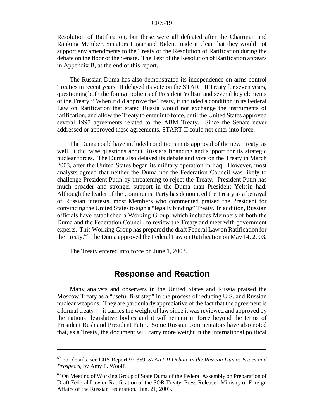Resolution of Ratification, but these were all defeated after the Chairman and Ranking Member, Senators Lugar and Biden, made it clear that they would not support any amendments to the Treaty or the Resolution of Ratification during the debate on the floor of the Senate. The Text of the Resolution of Ratification appears in Appendix B, at the end of this report.

The Russian Duma has also demonstrated its independence on arms control Treaties in recent years. It delayed its vote on the START II Treaty for seven years, questioning both the foreign policies of President Yeltsin and several key elements of the Treaty.59 When it did approve the Treaty, it included a condition in its Federal Law on Ratification that stated Russia would not exchange the instruments of ratification, and allow the Treaty to enter into force, until the United States approved several 1997 agreements related to the ABM Treaty. Since the Senate never addressed or approved these agreements, START II could not enter into force.

The Duma could have included conditions in its approval of the new Treaty, as well. It did raise questions about Russia's financing and support for its strategic nuclear forces. The Duma also delayed its debate and vote on the Treaty in March 2003, after the United States began its military operation in Iraq. However, most analysts agreed that neither the Duma nor the Federation Council was likely to challenge President Putin by threatening to reject the Treaty. President Putin has much broader and stronger support in the Duma than President Yeltsin had. Although the leader of the Communist Party has denounced the Treaty as a betrayal of Russian interests, most Members who commented praised the President for convincing the United States to sign a "legally binding" Treaty. In addition, Russian officials have established a Working Group, which includes Members of both the Duma and the Federation Council, to review the Treaty and meet with government experts. This Working Group has prepared the draft Federal Law on Ratification for the Treaty.<sup>60</sup> The Duma approved the Federal Law on Ratification on May 14, 2003.

The Treaty entered into force on June 1, 2003.

## **Response and Reaction**

Many analysts and observers in the United States and Russia praised the Moscow Treaty as a "useful first step" in the process of reducing U.S. and Russian nuclear weapons. They are particularly appreciative of the fact that the agreement is a formal treaty — it carries the weight of law since it was reviewed and approved by the nations' legislative bodies and it will remain in force beyond the terms of President Bush and President Putin. Some Russian commentators have also noted that, as a Treaty, the document will carry more weight in the international political

<sup>59</sup> For details, see CRS Report 97-359, *START II Debate in the Russian Duma: Issues and Prospects*, by Amy F. Woolf.

 $60$  On Meeting of Working Group of State Duma of the Federal Assembly on Preparation of Draft Federal Law on Ratification of the SOR Treaty, Press Release. Ministry of Foreign Affairs of the Russian Federation. Jan. 21, 2003.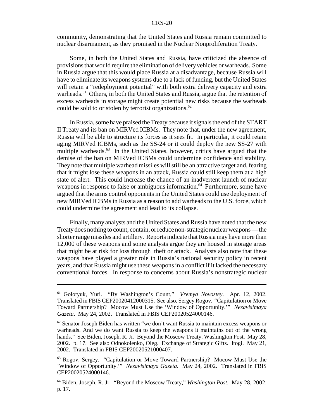community, demonstrating that the United States and Russia remain committed to nuclear disarmament, as they promised in the Nuclear Nonproliferation Treaty.

Some, in both the United States and Russia, have criticized the absence of provisions that would require the elimination of delivery vehicles or warheads. Some in Russia argue that this would place Russia at a disadvantage, because Russia will have to eliminate its weapons systems due to a lack of funding, but the United States will retain a "redeployment potential" with both extra delivery capacity and extra warheads.<sup>61</sup> Others, in both the United States and Russia, argue that the retention of excess warheads in storage might create potential new risks because the warheads could be sold to or stolen by terrorist organizations.<sup>62</sup>

In Russia, some have praised the Treaty because it signals the end of the START II Treaty and its ban on MIRVed ICBMs. They note that, under the new agreement, Russia will be able to structure its forces as it sees fit. In particular, it could retain aging MIRVed ICBMs, such as the SS-24 or it could deploy the new SS-27 with multiple warheads.<sup>63</sup> In the United States, however, critics have argued that the demise of the ban on MIRVed ICBMs could undermine confidence and stability. They note that multiple warhead missiles will still be an attractive target and, fearing that it might lose these weapons in an attack, Russia could still keep them at a high state of alert. This could increase the chance of an inadvertent launch of nuclear weapons in response to false or ambiguous information.<sup>64</sup> Furthermore, some have argued that the arms control opponents in the United States could use deployment of new MIRVed ICBMs in Russia as a reason to add warheads to the U.S. force, which could undermine the agreement and lead to its collapse.

Finally, many analysts and the United States and Russia have noted that the new Treaty does nothing to count, contain, or reduce non-strategic nuclear weapons — the shorter range missiles and artillery. Reports indicate that Russia may have more than 12,000 of these weapons and some analysts argue they are housed in storage areas that might be at risk for loss through theft or attack. Analysts also note that these weapons have played a greater role in Russia's national security policy in recent years, and that Russia might use these weapons in a conflict if it lacked the necessary conventional forces. In response to concerns about Russia's nonstrategic nuclear

<sup>61</sup> Golotyuk, Yuri. "By Washington's Count," *Vremya Novostey*. Apr. 12, 2002. Translated in FBIS CEP20020412000315. See also, Sergey Rogov. "Capitulation or Move Toward Partnership? Mocow Must Use the 'Window of Opportunity.'" *Nezavisimaya Gazeta*. May 24, 2002. Translated in FBIS CEP20020524000146.

 $62$  Senator Joseph Biden has written "we don't want Russia to maintain excess weapons or warheads. And we do want Russia to keep the weapons it maintains out of the wrong hands." See Biden, Joseph. R. Jr. Beyond the Moscow Treaty. Washington Post. May 28, 2002. p. 17. See also Odnokolenko, Oleg. Exchange of Strategic Gifts. Itogi. May 21, 2002. Translated in FBIS CEP20020521000407.

<sup>63</sup> Rogov, Sergey. "Capitulation or Move Toward Partnership? Mocow Must Use the 'Window of Opportunity.'" *Nezavisimaya Gazeta*. May 24, 2002. Translated in FBIS CEP20020524000146.

<sup>64</sup> Biden, Joseph. R. Jr. "Beyond the Moscow Treaty," *Washington Post*. May 28, 2002. p. 17.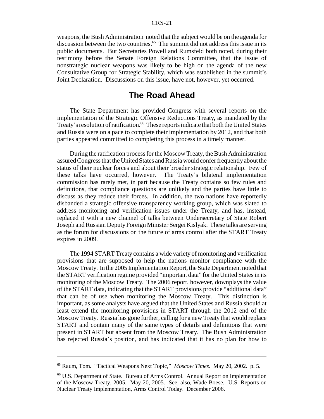weapons, the Bush Administration noted that the subject would be on the agenda for discussion between the two countries.<sup>65</sup> The summit did not address this issue in its public documents. But Secretaries Powell and Rumsfeld both noted, during their testimony before the Senate Foreign Relations Committee, that the issue of nonstrategic nuclear weapons was likely to be high on the agenda of the new Consultative Group for Strategic Stability, which was established in the summit's Joint Declaration. Discussions on this issue, have not, however, yet occurred.

## **The Road Ahead**

The State Department has provided Congress with several reports on the implementation of the Strategic Offensive Reductions Treaty, as mandated by the Treaty's resolution of ratification.<sup>66</sup> These reports indicate that both the United States and Russia were on a pace to complete their implementation by 2012, and that both parties appeared committed to completing this process in a timely manner.

During the ratification process for the Moscow Treaty, the Bush Administration assured Congress that the United States and Russia would confer frequently about the status of their nuclear forces and about their broader strategic relationship. Few of these talks have occurred, however. The Treaty's bilateral implementation commission has rarely met, in part because the Treaty contains so few rules and definitions, that compliance questions are unlikely and the parties have little to discuss as they reduce their forces. In addition, the two nations have reportedly disbanded a strategic offensive transparency working group, which was slated to address monitoring and verification issues under the Treaty, and has, instead, replaced it with a new channel of talks between Undersecretary of State Robert Joseph and Russian Deputy Foreign Minister Sergei Kislyak. These talks are serving as the forum for discussions on the future of arms control after the START Treaty expires in 2009.

The 1994 START Treaty contains a wide variety of monitoring and verification provisions that are supposed to help the nations monitor compliance with the Moscow Treaty. In the 2005 Implementation Report, the State Department noted that the START verification regime provided "important data" for the United States in its monitoring of the Moscow Treaty. The 2006 report, however, downplays the value of the START data, indicating that the START provisions provide "additional data" that can be of use when monitoring the Moscow Treaty. This distinction is important, as some analysts have argued that the United States and Russia should at least extend the monitoring provisions in START through the 2012 end of the Moscow Treaty. Russia has gone further, calling for a new Treaty that would replace START and contain many of the same types of details and definitions that were present in START but absent from the Moscow Treaty. The Bush Administration has rejected Russia's position, and has indicated that it has no plan for how to

<sup>65</sup> Raum, Tom. "Tactical Weapons Next Topic," *Moscow Times*. May 20, 2002. p. 5.

<sup>66</sup> U.S. Department of State. Bureau of Arms Control. Annual Report on Implementation of the Moscow Treaty, 2005. May 20, 2005. See, also, Wade Boese. U.S. Reports on Nuclear Treaty Implementation, Arms Control Today. December 2006.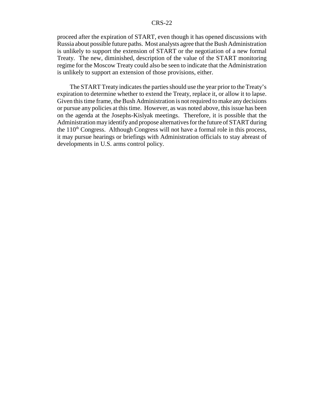proceed after the expiration of START, even though it has opened discussions with Russia about possible future paths. Most analysts agree that the Bush Administration is unlikely to support the extension of START or the negotiation of a new formal Treaty. The new, diminished, description of the value of the START monitoring regime for the Moscow Treaty could also be seen to indicate that the Administration is unlikely to support an extension of those provisions, either.

The START Treaty indicates the parties should use the year prior to the Treaty's expiration to determine whether to extend the Treaty, replace it, or allow it to lapse. Given this time frame, the Bush Administration is not required to make any decisions or pursue any policies at this time. However, as was noted above, this issue has been on the agenda at the Josephs-Kislyak meetings. Therefore, it is possible that the Administration may identify and propose alternatives for the future of START during the  $110<sup>th</sup>$  Congress. Although Congress will not have a formal role in this process, it may pursue hearings or briefings with Administration officials to stay abreast of developments in U.S. arms control policy.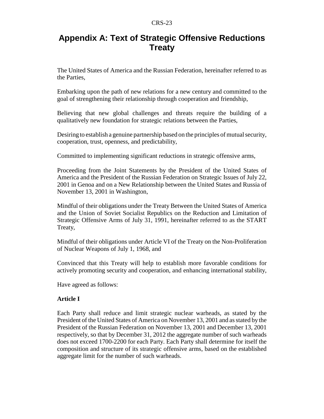## **Appendix A: Text of Strategic Offensive Reductions Treaty**

The United States of America and the Russian Federation, hereinafter referred to as the Parties,

Embarking upon the path of new relations for a new century and committed to the goal of strengthening their relationship through cooperation and friendship,

Believing that new global challenges and threats require the building of a qualitatively new foundation for strategic relations between the Parties,

Desiring to establish a genuine partnership based on the principles of mutual security, cooperation, trust, openness, and predictability,

Committed to implementing significant reductions in strategic offensive arms,

Proceeding from the Joint Statements by the President of the United States of America and the President of the Russian Federation on Strategic Issues of July 22, 2001 in Genoa and on a New Relationship between the United States and Russia of November 13, 2001 in Washington,

Mindful of their obligations under the Treaty Between the United States of America and the Union of Soviet Socialist Republics on the Reduction and Limitation of Strategic Offensive Arms of July 31, 1991, hereinafter referred to as the START Treaty,

Mindful of their obligations under Article VI of the Treaty on the Non-Proliferation of Nuclear Weapons of July 1, 1968, and

Convinced that this Treaty will help to establish more favorable conditions for actively promoting security and cooperation, and enhancing international stability,

Have agreed as follows:

## **Article I**

Each Party shall reduce and limit strategic nuclear warheads, as stated by the President of the United States of America on November 13, 2001 and as stated by the President of the Russian Federation on November 13, 2001 and December 13, 2001 respectively, so that by December 31, 2012 the aggregate number of such warheads does not exceed 1700-2200 for each Party. Each Party shall determine for itself the composition and structure of its strategic offensive arms, based on the established aggregate limit for the number of such warheads.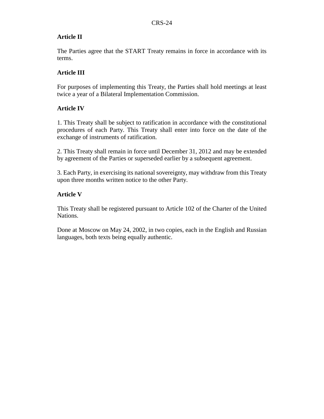## **Article II**

The Parties agree that the START Treaty remains in force in accordance with its terms.

## **Article III**

For purposes of implementing this Treaty, the Parties shall hold meetings at least twice a year of a Bilateral Implementation Commission.

## **Article IV**

1. This Treaty shall be subject to ratification in accordance with the constitutional procedures of each Party. This Treaty shall enter into force on the date of the exchange of instruments of ratification.

2. This Treaty shall remain in force until December 31, 2012 and may be extended by agreement of the Parties or superseded earlier by a subsequent agreement.

3. Each Party, in exercising its national sovereignty, may withdraw from this Treaty upon three months written notice to the other Party.

## **Article V**

This Treaty shall be registered pursuant to Article 102 of the Charter of the United Nations.

Done at Moscow on May 24, 2002, in two copies, each in the English and Russian languages, both texts being equally authentic.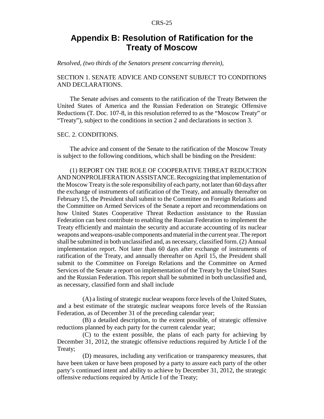## **Appendix B: Resolution of Ratification for the Treaty of Moscow**

*Resolved, (two thirds of the Senators present concurring therein),*

#### SECTION 1. SENATE ADVICE AND CONSENT SUBJECT TO CONDITIONS AND DECLARATIONS.

The Senate advises and consents to the ratification of the Treaty Between the United States of America and the Russian Federation on Strategic Offensive Reductions (T. Doc. 107-8, in this resolution referred to as the "Moscow Treaty" or "Treaty"), subject to the conditions in section 2 and declarations in section 3.

#### SEC. 2. CONDITIONS.

The advice and consent of the Senate to the ratification of the Moscow Treaty is subject to the following conditions, which shall be binding on the President:

(1) REPORT ON THE ROLE OF COOPERATIVE THREAT REDUCTION AND NONPROLIFERATION ASSISTANCE. Recognizing that implementation of the Moscow Treaty is the sole responsibility of each party, not later than 60 days after the exchange of instruments of ratification of the Treaty, and annually thereafter on February 15, the President shall submit to the Committee on Foreign Relations and the Committee on Armed Services of the Senate a report and recommendations on how United States Cooperative Threat Reduction assistance to the Russian Federation can best contribute to enabling the Russian Federation to implement the Treaty efficiently and maintain the security and accurate accounting of its nuclear weapons and weapons-usable components and material in the current year. The report shall be submitted in both unclassified and, as necessary, classified form. (2) Annual implementation report. Not later than 60 days after exchange of instruments of ratification of the Treaty, and annually thereafter on April 15, the President shall submit to the Committee on Foreign Relations and the Committee on Armed Services of the Senate a report on implementation of the Treaty by the United States and the Russian Federation. This report shall be submitted in both unclassified and, as necessary, classified form and shall include

(A) a listing of strategic nuclear weapons force levels of the United States, and a best estimate of the strategic nuclear weapons force levels of the Russian Federation, as of December 31 of the preceding calendar year;

(B) a detailed description, to the extent possible, of strategic offensive reductions planned by each party for the current calendar year;

(C) to the extent possible, the plans of each party for achieving by December 31, 2012, the strategic offensive reductions required by Article I of the Treaty;

(D) measures, including any verification or transparency measures, that have been taken or have been proposed by a party to assure each party of the other party's continued intent and ability to achieve by December 31, 2012, the strategic offensive reductions required by Article I of the Treaty;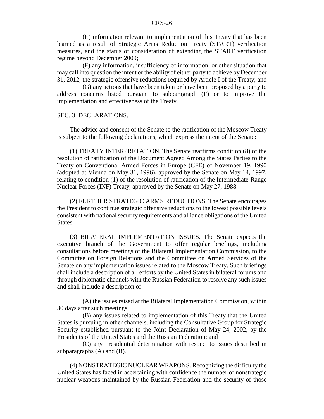(E) information relevant to implementation of this Treaty that has been learned as a result of Strategic Arms Reduction Treaty (START) verification measures, and the status of consideration of extending the START verification regime beyond December 2009;

(F) any information, insufficiency of information, or other situation that may call into question the intent or the ability of either party to achieve by December 31, 2012, the strategic offensive reductions required by Article I of the Treaty; and

(G) any actions that have been taken or have been proposed by a party to address concerns listed pursuant to subparagraph (F) or to improve the implementation and effectiveness of the Treaty.

#### SEC. 3. DECLARATIONS.

The advice and consent of the Senate to the ratification of the Moscow Treaty is subject to the following declarations, which express the intent of the Senate:

(1) TREATY INTERPRETATION. The Senate reaffirms condition (8) of the resolution of ratification of the Document Agreed Among the States Parties to the Treaty on Conventional Armed Forces in Europe (CFE) of November 19, 1990 (adopted at Vienna on May 31, 1996), approved by the Senate on May 14, 1997, relating to condition (1) of the resolution of ratification of the Intermediate-Range Nuclear Forces (INF) Treaty, approved by the Senate on May 27, 1988.

(2) FURTHER STRATEGIC ARMS REDUCTIONS. The Senate encourages the President to continue strategic offensive reductions to the lowest possible levels consistent with national security requirements and alliance obligations of the United States.

(3) BILATERAL IMPLEMENTATION ISSUES. The Senate expects the executive branch of the Government to offer regular briefings, including consultations before meetings of the Bilateral Implementation Commission, to the Committee on Foreign Relations and the Committee on Armed Services of the Senate on any implementation issues related to the Moscow Treaty. Such briefings shall include a description of all efforts by the United States in bilateral forums and through diplomatic channels with the Russian Federation to resolve any such issues and shall include a description of

(A) the issues raised at the Bilateral Implementation Commission, within 30 days after such meetings;

(B) any issues related to implementation of this Treaty that the United States is pursuing in other channels, including the Consultative Group for Strategic Security established pursuant to the Joint Declaration of May 24, 2002, by the Presidents of the United States and the Russian Federation; and

(C) any Presidential determination with respect to issues described in subparagraphs (A) and (B).

(4) NONSTRATEGIC NUCLEAR WEAPONS. Recognizing the difficulty the United States has faced in ascertaining with confidence the number of nonstrategic nuclear weapons maintained by the Russian Federation and the security of those